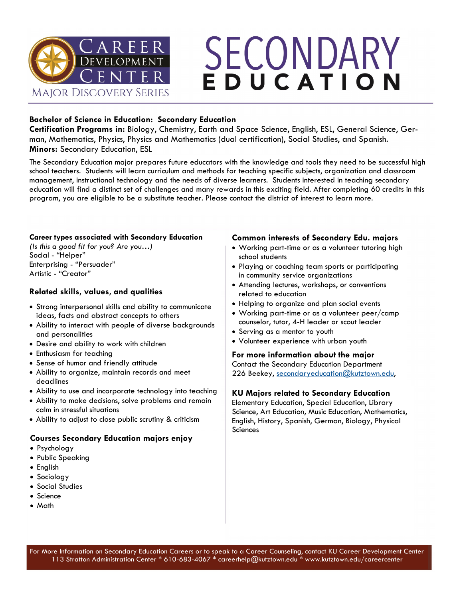

# SECONDARY EDUCATION

## **Bachelor of Science in Education: Secondary Education**

**Certification Programs in:** Biology, Chemistry, Earth and Space Science, English, ESL, General Science, German, Mathematics, Physics, Physics and Mathematics (dual certification), Social Studies, and Spanish. **Minors:** Secondary Education, ESL

The Secondary Education major prepares future educators with the knowledge and tools they need to be successful high school teachers. Students will learn curriculum and methods for teaching specific subjects, organization and classroom management, instructional technology and the needs of diverse learners. Students interested in teaching secondary education will find a distinct set of challenges and many rewards in this exciting field. After completing 60 credits in this program, you are eligible to be a substitute teacher. Please contact the district of interest to learn more.

### **Career types associated with Secondary Education**

*(Is this a good fit for you? Are you…)* Social - "Helper" Enterprising - "Persuader" Artistic - "Creator"

## **Related skills, values, and qualities**

- Strong interpersonal skills and ability to communicate ideas, facts and abstract concepts to others
- Ability to interact with people of diverse backgrounds and personalities
- Desire and ability to work with children
- Enthusiasm for teaching
- Sense of humor and friendly attitude
- Ability to organize, maintain records and meet deadlines
- Ability to use and incorporate technology into teaching
- Ability to make decisions, solve problems and remain calm in stressful situations
- Ability to adjust to close public scrutiny & criticism

## **Courses Secondary Education majors enjoy**

- Psychology
- Public Speaking
- English
- Sociology
- Social Studies
- Science
- Math

### **Common interests of Secondary Edu. majors**

- Working part-time or as a volunteer tutoring high school students
- Playing or coaching team sports or participating in community service organizations
- Attending lectures, workshops, or conventions related to education
- Helping to organize and plan social events
- Working part-time or as a volunteer peer/camp counselor, tutor, 4-H leader or scout leader
- Serving as a mentor to youth
- Volunteer experience with urban youth

## **For more information about the major** Contact the Secondary Education Department

226 Beekey, [secondaryeducation@kutztown.edu,](mailto:secondaryeducation@kutztown.edu)

## **KU Majors related to Secondary Education**

Elementary Education, Special Education, Library Science, Art Education, Music Education, Mathematics, English, History, Spanish, German, Biology, Physical Sciences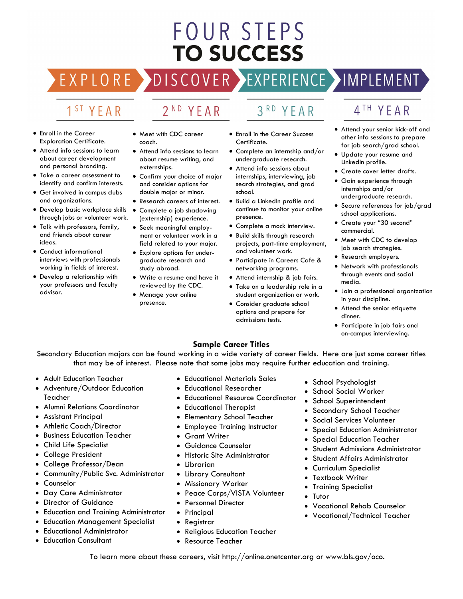## **FOUR STEPS TO SUCCESS**

**DISCOVER** 

## 1<sup>ST</sup> YEAR

EXPLORE >

## 2<sup>ND</sup> YEAR

#### • Enroll in the Career Exploration Certificate.

- Attend info sessions to learn about career development and personal branding.
- Take a career assessment to identify and confirm interests.
- Get involved in campus clubs and organizations.
- Develop basic workplace skills through jobs or volunteer work.
- Talk with professors, family, and friends about career ideas.
- Conduct informational interviews with professionals working in fields of interest.
- Develop a relationship with your professors and faculty advisor.
- Meet with CDC career coach.
- Attend info sessions to learn about resume writing, and externships.
- Confirm your choice of major and consider options for double major or minor.
- Research careers of interest.
- Complete a job shadowing (externship) experience.
- Seek meaningful employment or volunteer work in a field related to your major.
- Explore options for undergraduate research and study abroad.
- Write a resume and have it reviewed by the CDC.
- Manage your online presence.

• Enroll in the Career Success

YEAR

 $3<sup>RD</sup>$ 

- Certificate. • Complete an internship and/or
- undergraduate research. • Attend info sessions about internships, interviewing, job search strategies, and grad
- school. • Build a LinkedIn profile and continue to monitor your online
- presence. • Complete a mock interview.
- Build skills through research projects, part-time employment, and volunteer work.
- Participate in Careers Cafe & networking programs.
- Attend internship & job fairs.
- Take on a leadership role in a student organization or work.
- Consider graduate school options and prepare for admissions tests.

## 4TH YEAR

- Attend your senior kick-off and other info sessions to prepare for job search/grad school.
- Update your resume and LinkedIn profile.
- Create cover letter drafts.
- Gain experience through internships and/or undergraduate research.
- Secure references for job/grad school applications.
- Create your "30 second" commercial.
- Meet with CDC to develop job search strategies.
- Research employers.
- Network with professionals through events and social media.
- Join a professional organization in your discipline.
- Attend the senior etiquette dinner.
- Participate in job fairs and on-campus interviewing.

## **Sample Career Titles**

Secondary Education majors can be found working in a wide variety of career fields. Here are just some career titles that may be of interest. Please note that some jobs may require further education and training.

- Adult Education Teacher
- Adventure/Outdoor Education Teacher
- Alumni Relations Coordinator
- Assistant Principal
- Athletic Coach/Director
- Business Education Teacher
- Child Life Specialist
- College President
- College Professor/Dean
- Community/Public Svc. Administrator
- **Counselor**
- Day Care Administrator
- Director of Guidance
- Education and Training Administrator
- Education Management Specialist
- Educational Administrator
- **Education Consultant**
- Educational Materials Sales
- Educational Researcher
- Educational Resource Coordinator
- Educational Therapist
- Elementary School Teacher
- Employee Training Instructor
- Grant Writer
- Guidance Counselor
- Historic Site Administrator
- Librarian
- Library Consultant
- Missionary Worker
- Peace Corps/VISTA Volunteer
- Personnel Director
- **Principal**
- Registrar
- Religious Education Teacher
- Resource Teacher
- School Psychologist
- School Social Worker
- School Superintendent
	- Secondary School Teacher
- Social Services Volunteer
- Special Education Administrator
- Special Education Teacher
- Student Admissions Administrator
- Student Affairs Administrator
- Curriculum Specialist
- Textbook Writer
- Training Specialist
- Tutor
- Vocational Rehab Counselor
- Vocational/Technical Teacher

To learn more about these careers, visit http://online.onetcenter.org or www.bls.gov/oco.

EXPERIENCE >IMPLEMENT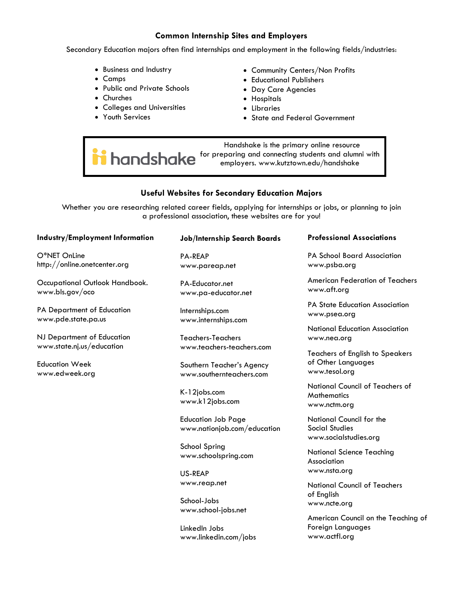### **Common Internship Sites and Employers**

Secondary Education majors often find internships and employment in the following fields/industries:

- Business and Industry
- Camps
- Public and Private Schools
- Churches
- Colleges and Universities
- Youth Services
- Community Centers/Non Profits
- Educational Publishers
- Day Care Agencies
- Hospitals
- Libraries
- State and Federal Government

 Handshake is the primary online resource **in** handshake for preparing and connecting students and alumni with employers. [www.kutztown.edu/ha](http://www.kutztown.edu/careercenter)ndshake

## **Useful Websites for Secondary Education Majors**

Whether you are researching related career fields, applying for internships or jobs, or planning to join a professional association, these websites are for you!

| Industry/Employment Information                                      | <b>Job/Internship Search Boards</b>                                                | <b>Professional Associations</b>                                              |
|----------------------------------------------------------------------|------------------------------------------------------------------------------------|-------------------------------------------------------------------------------|
| O*NET OnLine<br>http://online.onetcenter.org                         | <b>PA-REAP</b><br>www.pareap.net                                                   | <b>PA School Board Association</b><br>www.psba.org                            |
| Occupational Outlook Handbook.<br>www.bls.gov/oco                    | PA-Educator.net<br>www.pa-educator.net                                             | American Federation of Teachers<br>www.aft.org                                |
| PA Department of Education<br>www.pde.state.pa.us                    | Internships.com<br>www.internships.com                                             | <b>PA State Education Association</b><br>www.psea.org                         |
| NJ Department of Education                                           | Teachers-Teachers                                                                  | National Education Association<br>www.nea.org                                 |
| www.state.nj.us/education<br><b>Education Week</b><br>www.edweek.org | www.teachers-teachers.com<br>Southern Teacher's Agency<br>www.southernteachers.com | <b>Teachers of English to Speakers</b><br>of Other Languages<br>www.tesol.org |
|                                                                      | K-12jobs.com<br>www.k12jobs.com                                                    | <b>National Council of Teachers of</b><br><b>Mathematics</b><br>www.nctm.org  |
|                                                                      | <b>Education Job Page</b><br>www.nationjob.com/education                           | National Council for the<br><b>Social Studies</b><br>www.socialstudies.org    |
|                                                                      | School Spring<br>www.schoolspring.com                                              | <b>National Science Teaching</b><br>Association                               |
|                                                                      | US-REAP                                                                            | www.nsta.org                                                                  |

www.reap.net

www.school-jobs.net

www.linkedin.com/jobs

School-Jobs

LinkedIn Jobs

National Council of Teachers of English www.ncte.org

American Council on the Teaching of Foreign Languages www.actfl.org